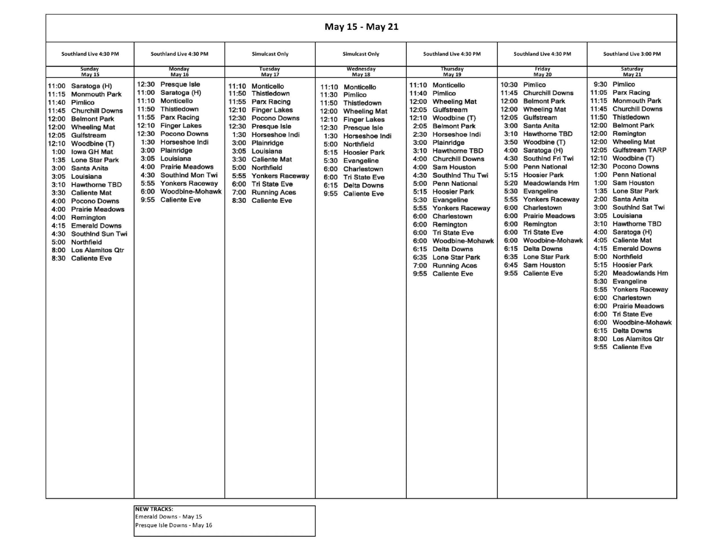## **May 15 - May 21**

| <b>INIAN TO - INIAN ST</b>                                                                                                                                                                                                                                                                                                                                                                                                                                                                                                                                                                                                       |                                                                                                                                                                                                                                                                                                                                                                                      |                                                                                                                                                                                                                                                                                                                                                                                                              |                                                                                                                                                                                                                                                                                                                                                                                   |                                                                                                                                                                                                                                                                                                                                                                                                                                                                                                                                                                                                                                                                                     |                                                                                                                                                                                                                                                                                                                                                                                                                                                                                                                                                                                                                                                                             |                                                                                                                                                                                                                                                                                                                                                                                                                                                                                                                                                                                                                                                                                                                                                                                                                                                                                                               |  |  |  |  |
|----------------------------------------------------------------------------------------------------------------------------------------------------------------------------------------------------------------------------------------------------------------------------------------------------------------------------------------------------------------------------------------------------------------------------------------------------------------------------------------------------------------------------------------------------------------------------------------------------------------------------------|--------------------------------------------------------------------------------------------------------------------------------------------------------------------------------------------------------------------------------------------------------------------------------------------------------------------------------------------------------------------------------------|--------------------------------------------------------------------------------------------------------------------------------------------------------------------------------------------------------------------------------------------------------------------------------------------------------------------------------------------------------------------------------------------------------------|-----------------------------------------------------------------------------------------------------------------------------------------------------------------------------------------------------------------------------------------------------------------------------------------------------------------------------------------------------------------------------------|-------------------------------------------------------------------------------------------------------------------------------------------------------------------------------------------------------------------------------------------------------------------------------------------------------------------------------------------------------------------------------------------------------------------------------------------------------------------------------------------------------------------------------------------------------------------------------------------------------------------------------------------------------------------------------------|-----------------------------------------------------------------------------------------------------------------------------------------------------------------------------------------------------------------------------------------------------------------------------------------------------------------------------------------------------------------------------------------------------------------------------------------------------------------------------------------------------------------------------------------------------------------------------------------------------------------------------------------------------------------------------|---------------------------------------------------------------------------------------------------------------------------------------------------------------------------------------------------------------------------------------------------------------------------------------------------------------------------------------------------------------------------------------------------------------------------------------------------------------------------------------------------------------------------------------------------------------------------------------------------------------------------------------------------------------------------------------------------------------------------------------------------------------------------------------------------------------------------------------------------------------------------------------------------------------|--|--|--|--|
| Southland Live 4:30 PM                                                                                                                                                                                                                                                                                                                                                                                                                                                                                                                                                                                                           | Southland Live 4:30 PM                                                                                                                                                                                                                                                                                                                                                               | <b>Simulcast Only</b>                                                                                                                                                                                                                                                                                                                                                                                        | <b>Simulcast Only</b>                                                                                                                                                                                                                                                                                                                                                             | Southland Live 4:30 PM                                                                                                                                                                                                                                                                                                                                                                                                                                                                                                                                                                                                                                                              | Southland Live 4:30 PM                                                                                                                                                                                                                                                                                                                                                                                                                                                                                                                                                                                                                                                      | Southland Live 3:00 PM                                                                                                                                                                                                                                                                                                                                                                                                                                                                                                                                                                                                                                                                                                                                                                                                                                                                                        |  |  |  |  |
| Sunday<br><b>May 15</b>                                                                                                                                                                                                                                                                                                                                                                                                                                                                                                                                                                                                          | Monday<br><b>May 16</b>                                                                                                                                                                                                                                                                                                                                                              | Tuesday<br><b>May 17</b>                                                                                                                                                                                                                                                                                                                                                                                     | Wednesday<br><b>May 18</b>                                                                                                                                                                                                                                                                                                                                                        | Thursday<br><b>May 19</b>                                                                                                                                                                                                                                                                                                                                                                                                                                                                                                                                                                                                                                                           | Friday<br><b>May 20</b>                                                                                                                                                                                                                                                                                                                                                                                                                                                                                                                                                                                                                                                     | Saturday<br><b>May 21</b>                                                                                                                                                                                                                                                                                                                                                                                                                                                                                                                                                                                                                                                                                                                                                                                                                                                                                     |  |  |  |  |
| 11:00<br>Saratoga (H)<br>11:15 Monmouth Park<br>11:40<br>Pimlico<br><b>Churchill Downs</b><br>11:45<br>12:00<br><b>Belmont Park</b><br>12:00<br><b>Wheeling Mat</b><br>12:05<br>Gulfstream<br>12:10<br>Woodbine (T)<br><b>Iowa GH Mat</b><br>1:00<br><b>Lone Star Park</b><br>1:35<br>Santa Anita<br>3:00<br>3:05<br>Louisiana<br>Hawthorne TBD<br>3:10<br><b>Caliente Mat</b><br>3:30<br>4:00<br><b>Pocono Downs</b><br>4:00<br><b>Prairie Meadows</b><br>4:00<br>Remington<br><b>Emerald Downs</b><br>4:15<br>4:30<br>Southind Sun Twi<br>Northfield<br>5:00<br>8:00<br><b>Los Alamitos Qtr</b><br>8:30<br><b>Caliente Eve</b> | 12:30 Presque Isle<br>11:00<br>Saratoga (H)<br>11:10<br>Monticello<br>11:50 Thistledown<br>11:55 Parx Racing<br>12:10<br><b>Finger Lakes</b><br>12:30 Pocono Downs<br>1:30<br>Horseshoe Indi<br>Plainridge<br>3:00<br>3:05 Louisiana<br>4:00<br><b>Prairie Meadows</b><br>4:30<br>Southind Mon Twi<br>5:55<br><b>Yonkers Raceway</b><br>6:00<br>Woodbine-Mohawk<br>9:55 Caliente Eve | 11:10<br>Monticello<br>11:50<br>Thistledown<br>11:55<br>Parx Racing<br>12:10<br><b>Finger Lakes</b><br>12:30<br><b>Pocono Downs</b><br>12:30<br>Presque Isle<br>1:30<br>Horseshoe Indi<br>3:00<br>Plainridge<br>3:05<br>Louisiana<br>3:30<br><b>Caliente Mat</b><br>5:00<br>Northfield<br>5:55<br><b>Yonkers Raceway</b><br>6:00<br><b>Tri State Eve</b><br>7:00<br><b>Running Aces</b><br>8:30 Caliente Eve | 11:10<br>Monticello<br>11:30<br>Pimlico<br>11:50<br>Thistledown<br>12:00<br><b>Wheeling Mat</b><br>12:10<br><b>Finger Lakes</b><br>12:30<br>Presque Isle<br>1:30<br>Horseshoe Indi<br>5:00<br>Northfield<br><b>Hoosier Park</b><br>5:15<br>5:30<br>Evangeline<br>6:00<br>Charlestown<br>6:00<br><b>Tri State Eve</b><br><b>Delta Downs</b><br>6:15<br>9:55<br><b>Caliente Eve</b> | 11:10 Monticello<br>Pimlico<br>11:40<br>12:00<br><b>Wheeling Mat</b><br>12:05<br>Gulfstream<br>12:10<br>Woodbine (T)<br>2:05<br><b>Belmont Park</b><br>2:30<br>Horseshoe Indi<br>3:00<br>Plainridge<br>3:10<br><b>Hawthorne TBD</b><br>4:00<br><b>Churchill Downs</b><br><b>Sam Houston</b><br>4:00<br>4:30<br>Southind Thu Twi<br>5:00<br>Penn National<br>5:15<br><b>Hoosier Park</b><br>5:30<br>Evangeline<br>5:55<br><b>Yonkers Raceway</b><br>6:00<br>Charlestown<br>6:00<br>Remington<br>6:00<br><b>Tri State Eve</b><br>6:00<br><b>Woodbine-Mohawk</b><br>6:15<br><b>Delta Downs</b><br>6:35<br>Lone Star Park<br>7:00<br><b>Running Aces</b><br>9:55<br><b>Caliente Eve</b> | 10:30<br>Pimlico<br><b>Churchill Downs</b><br>11:45<br>12:00<br><b>Belmont Park</b><br>12:00<br><b>Wheeling Mat</b><br>Gulfstream<br>12:05<br>Santa Anita<br>3:00<br>Hawthorne TBD<br>3:10<br>3:50<br>Woodbine (T)<br>Saratoga (H)<br>4:00<br>4:30<br>SouthInd Fri Twi<br>5:00<br><b>Penn National</b><br>5:15<br><b>Hoosier Park</b><br>5:20<br><b>Meadowlands Hm</b><br>5:30<br>Evangeline<br>5:55<br><b>Yonkers Raceway</b><br>Charlestown<br>6:00<br><b>Prairie Meadows</b><br>6:00<br>6:00<br>Remington<br><b>Tri State Eve</b><br>6:00<br>Woodbine-Mohawk<br>6:00<br>6:15<br><b>Delta Downs</b><br>6:35<br>Lone Star Park<br>6:45<br>Sam Houston<br>9:55 Caliente Eve | 9:30 Pimlico<br>11:05<br>Parx Racing<br>11:15<br><b>Monmouth Park</b><br><b>Churchill Downs</b><br>11:45<br>11:50<br>Thistledown<br>12:00<br><b>Belmont Park</b><br>12:00<br>Remington<br>12:00<br><b>Wheeling Mat</b><br>12:05<br><b>Gulfstream TARP</b><br>12:10<br>Woodbine (T)<br>12:30<br>Pocono Downs<br>1:00<br><b>Penn National</b><br>1:00<br>Sam Houston<br><b>Lone Star Park</b><br>1:35<br>2:00<br>Santa Anita<br>Southind Sat Twi<br>3:00<br>3:05<br>Louisiana<br>3:10<br><b>Hawthorne TBD</b><br>4:00<br>Saratoga (H)<br>4:05<br><b>Caliente Mat</b><br><b>Emerald Downs</b><br>4:15<br>5:00<br>Northfield<br>5:15<br><b>Hoosier Park</b><br>5:20<br><b>Meadowlands Hrn</b><br>5:30<br>Evangeline<br>5:55<br><b>Yonkers Raceway</b><br>6:00 Charlestown<br>6:00 Prairie Meadows<br>6:00 Tri State Eve<br>6:00 Woodbine-Mohawk<br>6:15 Delta Downs<br>8:00 Los Alamitos Qtr<br>9:55 Caliente Eve |  |  |  |  |

## NEW TRACKS:

Emerald Downs - May 15 Presque Isle Downs - May 16